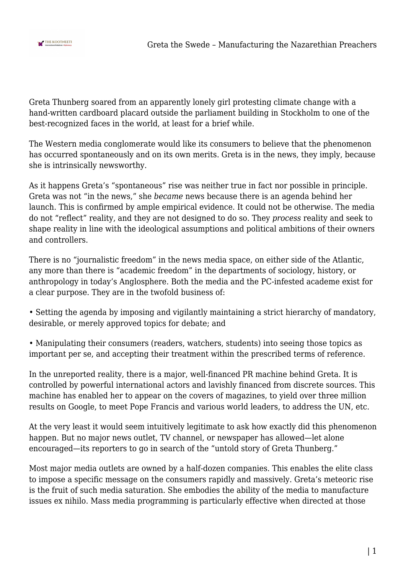

Greta Thunberg soared from an apparently lonely girl protesting climate change with a hand-written cardboard placard outside the parliament building in Stockholm to one of the best-recognized faces in the world, at least for a brief while.

The Western media conglomerate would like its consumers to believe that the phenomenon has occurred spontaneously and on its own merits. Greta is in the news, they imply, because she is intrinsically newsworthy.

As it happens Greta's "spontaneous" rise was neither true in fact nor possible in principle. Greta was not "in the news," she *became* news because there is an agenda behind her launch. This is confirmed by ample empirical evidence. It could not be otherwise. The media do not "reflect" reality, and they are not designed to do so. They *process* reality and seek to shape reality in line with the ideological assumptions and political ambitions of their owners and controllers.

There is no "journalistic freedom" in the news media space, on either side of the Atlantic, any more than there is "academic freedom" in the departments of sociology, history, or anthropology in today's Anglosphere. Both the media and the PC-infested academe exist for a clear purpose. They are in the twofold business of:

• Setting the agenda by imposing and vigilantly maintaining a strict hierarchy of mandatory, desirable, or merely approved topics for debate; and

• Manipulating their consumers (readers, watchers, students) into seeing those topics as important per se, and accepting their treatment within the prescribed terms of reference.

In the unreported reality, there is a major, well-financed PR machine behind Greta. It is controlled by powerful international actors and lavishly financed from discrete sources. This machine has enabled her to appear on the covers of magazines, to yield over three million results on Google, to meet Pope Francis and various world leaders, to address the UN, etc.

At the very least it would seem intuitively legitimate to ask how exactly did this phenomenon happen. But no major news outlet, TV channel, or newspaper has allowed—let alone encouraged—its reporters to go in search of the "untold story of Greta Thunberg."

Most major media outlets are owned by a half-dozen companies. This enables the elite class to impose a specific message on the consumers rapidly and massively. Greta's meteoric rise is the fruit of such media saturation. She embodies the ability of the media to manufacture issues ex nihilo. Mass media programming is particularly effective when directed at those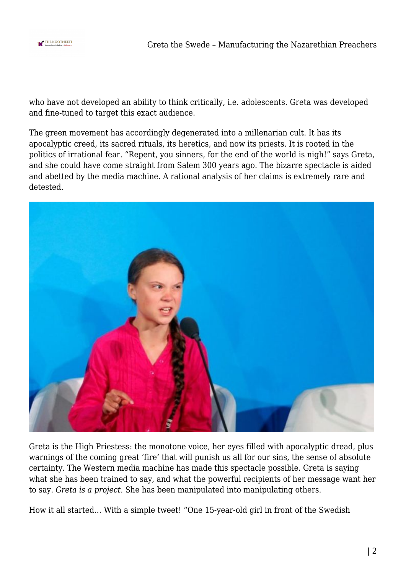

who have not developed an ability to think critically, i.e. adolescents. Greta was developed and fine-tuned to target this exact audience.

The green movement has accordingly degenerated into a millenarian cult. It has its apocalyptic creed, its sacred rituals, its heretics, and now its priests. It is rooted in the politics of irrational fear. "Repent, you sinners, for the end of the world is nigh!" says Greta, and she could have come straight from Salem 300 years ago. The bizarre spectacle is aided and abetted by the media machine. A rational analysis of her claims is extremely rare and detested.



Greta is the High Priestess: the monotone voice, her eyes filled with apocalyptic dread, plus warnings of the coming great 'fire' that will punish us all for our sins, the sense of absolute certainty. The Western media machine has made this spectacle possible. Greta is saying what she has been trained to say, and what the powerful recipients of her message want her to say. *Greta is a project.* She has been manipulated into manipulating others.

How it all started… With a simple tweet! "One 15-year-old girl in front of the Swedish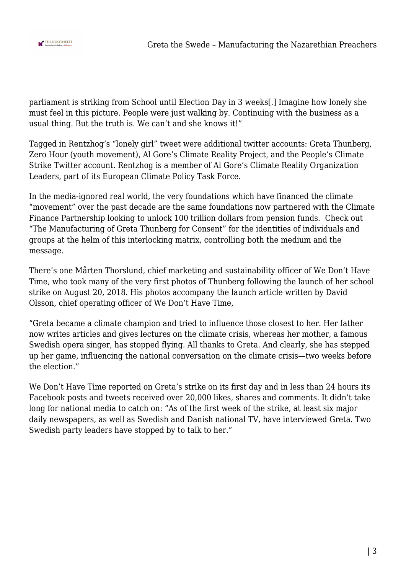

parliament is striking from School until Election Day in 3 weeks[.] Imagine how lonely she must feel in this picture. People were just walking by. Continuing with the business as a usual thing. But the truth is. We can't and she knows it!"

Tagged in Rentzhog's "lonely girl" tweet were additional twitter accounts: Greta Thunberg, Zero Hour (youth movement), Al Gore's Climate Reality Project, and the People's Climate Strike Twitter account. Rentzhog is a member of Al Gore's Climate Reality Organization Leaders, part of its European Climate Policy Task Force.

In the media-ignored real world, the very foundations which have financed the climate "movement" over the past decade are the same foundations now partnered with the Climate Finance Partnership looking to unlock 100 trillion dollars from pension funds. Check out "The Manufacturing of Greta Thunberg for Consent" for the identities of individuals and groups at the helm of this interlocking matrix, controlling both the medium and the message.

There's one Mårten Thorslund, chief marketing and sustainability officer of We Don't Have Time, who took many of the very first photos of Thunberg following the launch of her school strike on August 20, 2018. His photos accompany the launch article written by David Olsson, chief operating officer of We Don't Have Time,

"Greta became a climate champion and tried to influence those closest to her. Her father now writes articles and gives lectures on the climate crisis, whereas her mother, a famous Swedish opera singer, has stopped flying. All thanks to Greta. And clearly, she has stepped up her game, influencing the national conversation on the climate crisis—two weeks before the election."

We Don't Have Time reported on Greta's strike on its first day and in less than 24 hours its Facebook posts and tweets received over 20,000 likes, shares and comments. It didn't take long for national media to catch on: "As of the first week of the strike, at least six major daily newspapers, as well as Swedish and Danish national TV, have interviewed Greta. Two Swedish party leaders have stopped by to talk to her."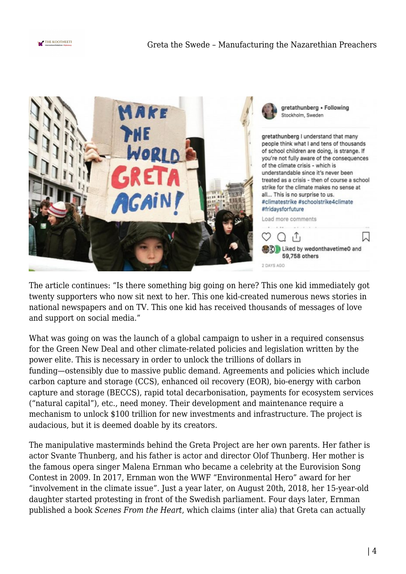



The article continues: "Is there something big going on here? This one kid immediately got twenty supporters who now sit next to her. This one kid-created numerous news stories in national newspapers and on TV. This one kid has received thousands of messages of love and support on social media."

What was going on was the launch of a global campaign to usher in a required consensus for the Green New Deal and other climate-related policies and legislation written by the power elite. This is necessary in order to unlock the trillions of dollars in funding—ostensibly due to massive public demand. Agreements and policies which include carbon capture and storage (CCS), enhanced oil recovery (EOR), bio-energy with carbon capture and storage (BECCS), rapid total decarbonisation, payments for ecosystem services ("natural capital"), etc., need money. Their development and maintenance require a mechanism to unlock \$100 trillion for new investments and infrastructure. The project is audacious, but it is deemed doable by its creators.

The manipulative masterminds behind the Greta Project are her own parents. Her father is actor Svante Thunberg, and his father is actor and director Olof Thunberg. Her mother is the famous opera singer Malena Ernman who became a celebrity at the Eurovision Song Contest in 2009. In 2017, Ernman won the WWF "Environmental Hero" award for her "involvement in the climate issue". Just a year later, on August 20th, 2018, her 15-year-old daughter started protesting in front of the Swedish parliament. Four days later, Ernman published a book *Scenes From the Heart*, which claims (inter alia) that Greta can actually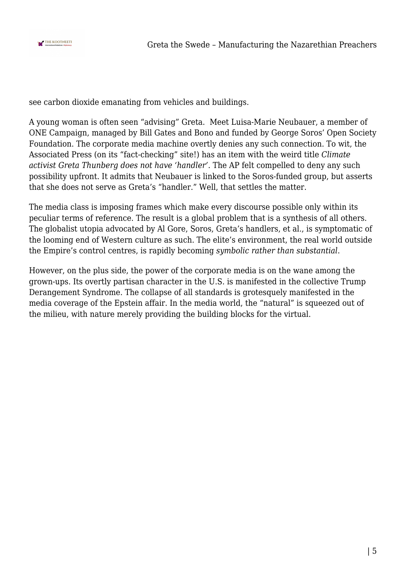

see carbon dioxide emanating from vehicles and buildings.

A young woman is often seen "advising" Greta. Meet Luisa-Marie Neubauer, a member of ONE Campaign, managed by Bill Gates and Bono and funded by George Soros' Open Society Foundation. The corporate media machine overtly denies any such connection. To wit, the Associated Press (on its "fact-checking" site!) has an item with the weird title *Climate activist Greta Thunberg does not have 'handler'*. The AP felt compelled to deny any such possibility upfront. It admits that Neubauer is linked to the Soros-funded group, but asserts that she does not serve as Greta's "handler." Well, that settles the matter.

The media class is imposing frames which make every discourse possible only within its peculiar terms of reference. The result is a global problem that is a synthesis of all others. The globalist utopia advocated by Al Gore, Soros, Greta's handlers, et al., is symptomatic of the looming end of Western culture as such. The elite's environment, the real world outside the Empire's control centres, is rapidly becoming *symbolic rather than substantial*.

However, on the plus side, the power of the corporate media is on the wane among the grown-ups. Its overtly partisan character in the U.S. is manifested in the collective Trump Derangement Syndrome. The collapse of all standards is grotesquely manifested in the media coverage of the Epstein affair. In the media world, the "natural" is squeezed out of the milieu, with nature merely providing the building blocks for the virtual.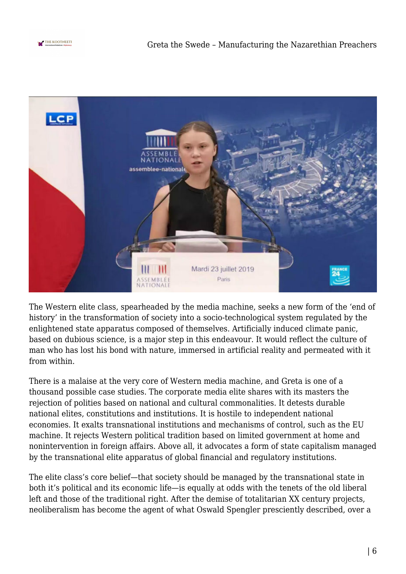



The Western elite class, spearheaded by the media machine, seeks a new form of the 'end of history' in the transformation of society into a socio-technological system regulated by the enlightened state apparatus composed of themselves. Artificially induced climate panic, based on dubious science, is a major step in this endeavour. It would reflect the culture of man who has lost his bond with nature, immersed in artificial reality and permeated with it from within.

There is a malaise at the very core of Western media machine, and Greta is one of a thousand possible case studies. The corporate media elite shares with its masters the rejection of polities based on national and cultural commonalities. It detests durable national elites, constitutions and institutions. It is hostile to independent national economies. It exalts transnational institutions and mechanisms of control, such as the EU machine. It rejects Western political tradition based on limited government at home and nonintervention in foreign affairs. Above all, it advocates a form of state capitalism managed by the transnational elite apparatus of global financial and regulatory institutions.

The elite class's core belief—that society should be managed by the transnational state in both it's political and its economic life—is equally at odds with the tenets of the old liberal left and those of the traditional right. After the demise of totalitarian XX century projects, neoliberalism has become the agent of what Oswald Spengler presciently described, over a